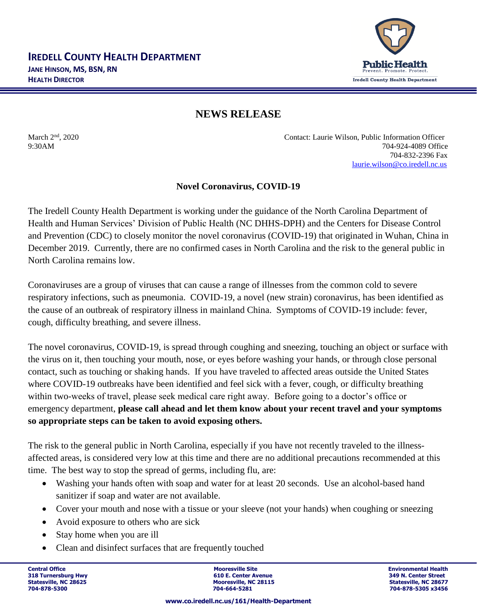

## **NEWS RELEASE**

March  $2<sup>nd</sup>$ , 2020 Contact: Laurie Wilson, Public Information Officer 9:30AM 704-924-4089 Office 704-832-2396 Fax [laurie.wilson@co.iredell.nc.us](mailto:laurie.wilson@co.iredell.nc.us)

## **Novel Coronavirus, COVID-19**

The Iredell County Health Department is working under the guidance of the North Carolina Department of Health and Human Services' Division of Public Health (NC DHHS-DPH) and the Centers for Disease Control and Prevention (CDC) to closely monitor the novel coronavirus (COVID-19) that originated in Wuhan, China in December 2019. Currently, there are no confirmed cases in North Carolina and the risk to the general public in North Carolina remains low.

Coronaviruses are a group of viruses that can cause a range of illnesses from the common cold to severe respiratory infections, such as pneumonia. COVID-19, a novel (new strain) coronavirus, has been identified as the cause of an outbreak of respiratory illness in mainland China. Symptoms of COVID-19 include: fever, cough, difficulty breathing, and severe illness.

The novel coronavirus, COVID-19, is spread through coughing and sneezing, touching an object or surface with the virus on it, then touching your mouth, nose, or eyes before washing your hands, or through close personal contact, such as touching or shaking hands. If you have traveled to affected areas outside the United States where COVID-19 outbreaks have been identified and feel sick with a fever, cough, or difficulty breathing within two-weeks of travel, please seek medical care right away. Before going to a doctor's office or emergency department, **please call ahead and let them know about your recent travel and your symptoms so appropriate steps can be taken to avoid exposing others.**

The risk to the general public in North Carolina, especially if you have not recently traveled to the illnessaffected areas, is considered very low at this time and there are no additional precautions recommended at this time. The best way to stop the spread of germs, including flu, are:

- Washing your hands often with soap and water for at least 20 seconds. Use an alcohol-based hand sanitizer if soap and water are not available.
- Cover your mouth and nose with a tissue or your sleeve (not your hands) when coughing or sneezing
- Avoid exposure to others who are sick
- Stay home when you are ill
- Clean and disinfect surfaces that are frequently touched

**Central Office Mooresville Site Environmental Health 318 Turnersburg Hwy 610 E. Center Avenue 349 N. Center Street Statesville, NC 28115**<br> **Statesville, NC 28677**<br> **Statesville, NC 28677**<br> **STATES 28156**<br> **STATES 28456 704-878-5300 704-664-5281 704-878-5305 x3456**